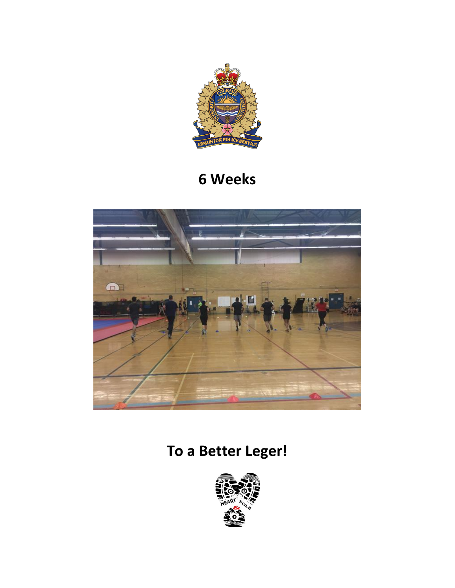

## **6 Weeks**



# **To a Better Leger!**

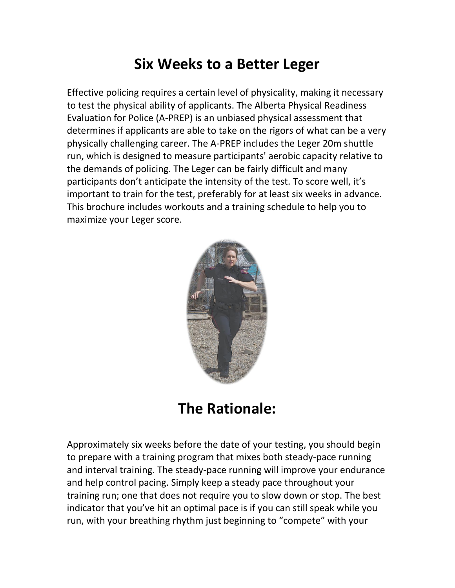## **Six Weeks to a Better Leger**

Effective policing requires a certain level of physicality, making it necessary to test the physical ability of applicants. The Alberta Physical Readiness Evaluation for Police (A-PREP) is an unbiased physical assessment that determines if applicants are able to take on the rigors of what can be a very physically challenging career. The A-PREP includes the Leger 20m shuttle run, which is designed to measure participants' aerobic capacity relative to the demands of policing. The Leger can be fairly difficult and many participants don't anticipate the intensity of the test. To score well, it's important to train for the test, preferably for at least six weeks in advance. This brochure includes workouts and a training schedule to help you to maximize your Leger score.



**The Rationale:**

Approximately six weeks before the date of your testing, you should begin to prepare with a training program that mixes both steady-pace running and interval training. The steady-pace running will improve your endurance and help control pacing. Simply keep a steady pace throughout your training run; one that does not require you to slow down or stop. The best indicator that you've hit an optimal pace is if you can still speak while you run, with your breathing rhythm just beginning to "compete" with your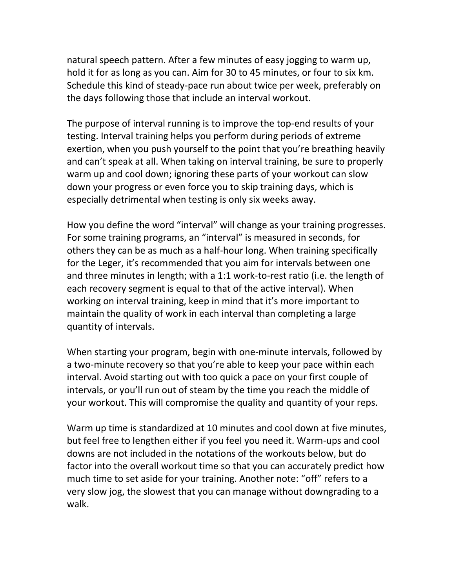natural speech pattern. After a few minutes of easy jogging to warm up, hold it for as long as you can. Aim for 30 to 45 minutes, or four to six km. Schedule this kind of steady-pace run about twice per week, preferably on the days following those that include an interval workout.

The purpose of interval running is to improve the top-end results of your testing. Interval training helps you perform during periods of extreme exertion, when you push yourself to the point that you're breathing heavily and can't speak at all. When taking on interval training, be sure to properly warm up and cool down; ignoring these parts of your workout can slow down your progress or even force you to skip training days, which is especially detrimental when testing is only six weeks away.

How you define the word "interval" will change as your training progresses. For some training programs, an "interval" is measured in seconds, for others they can be as much as a half-hour long. When training specifically for the Leger, it's recommended that you aim for intervals between one and three minutes in length; with a 1:1 work-to-rest ratio (i.e. the length of each recovery segment is equal to that of the active interval). When working on interval training, keep in mind that it's more important to maintain the quality of work in each interval than completing a large quantity of intervals.

When starting your program, begin with one-minute intervals, followed by a two-minute recovery so that you're able to keep your pace within each interval. Avoid starting out with too quick a pace on your first couple of intervals, or you'll run out of steam by the time you reach the middle of your workout. This will compromise the quality and quantity of your reps.

Warm up time is standardized at 10 minutes and cool down at five minutes, but feel free to lengthen either if you feel you need it. Warm-ups and cool downs are not included in the notations of the workouts below, but do factor into the overall workout time so that you can accurately predict how much time to set aside for your training. Another note: "off" refers to a very slow jog, the slowest that you can manage without downgrading to a walk.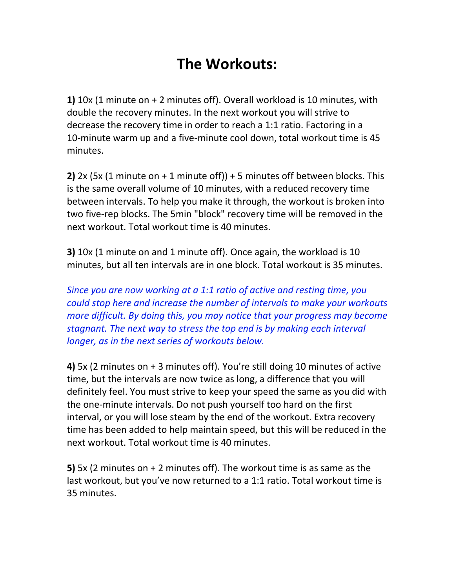## **The Workouts:**

**1)** 10x (1 minute on + 2 minutes off). Overall workload is 10 minutes, with double the recovery minutes. In the next workout you will strive to decrease the recovery time in order to reach a 1:1 ratio. Factoring in a 10-minute warm up and a five-minute cool down, total workout time is 45 minutes.

**2)** 2x (5x (1 minute on + 1 minute off)) + 5 minutes off between blocks. This is the same overall volume of 10 minutes, with a reduced recovery time between intervals. To help you make it through, the workout is broken into two five-rep blocks. The 5min "block" recovery time will be removed in the next workout. Total workout time is 40 minutes.

**3)** 10x (1 minute on and 1 minute off). Once again, the workload is 10 minutes, but all ten intervals are in one block. Total workout is 35 minutes.

*Since you are now working at a 1:1 ratio of active and resting time, you could stop here and increase the number of intervals to make your workouts more difficult. By doing this, you may notice that your progress may become stagnant. The next way to stress the top end is by making each interval longer, as in the next series of workouts below.*

**4)** 5x (2 minutes on + 3 minutes off). You're still doing 10 minutes of active time, but the intervals are now twice as long, a difference that you will definitely feel. You must strive to keep your speed the same as you did with the one-minute intervals. Do not push yourself too hard on the first interval, or you will lose steam by the end of the workout. Extra recovery time has been added to help maintain speed, but this will be reduced in the next workout. Total workout time is 40 minutes.

**5)** 5x (2 minutes on + 2 minutes off). The workout time is as same as the last workout, but you've now returned to a 1:1 ratio. Total workout time is 35 minutes.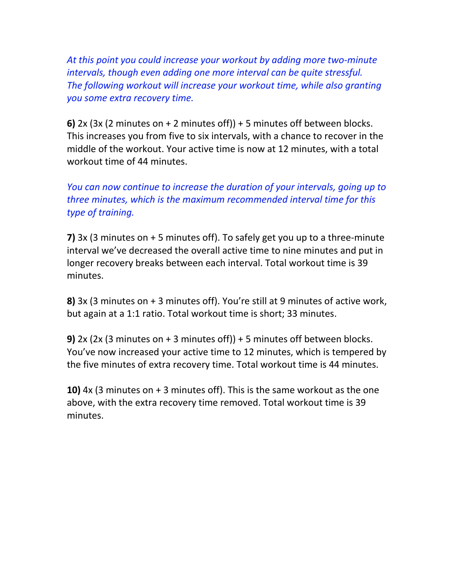*At this point you could increase your workout by adding more two-minute intervals, though even adding one more interval can be quite stressful. The following workout will increase your workout time, while also granting you some extra recovery time.*

**6)**  $2x$  ( $3x$  ( $2$  minutes on  $+2$  minutes off))  $+5$  minutes off between blocks. This increases you from five to six intervals, with a chance to recover in the middle of the workout. Your active time is now at 12 minutes, with a total workout time of 44 minutes.

*You can now continue to increase the duration of your intervals, going up to three minutes, which is the maximum recommended interval time for this type of training.*

**7)** 3x (3 minutes on + 5 minutes off). To safely get you up to a three-minute interval we've decreased the overall active time to nine minutes and put in longer recovery breaks between each interval. Total workout time is 39 minutes.

**8)** 3x (3 minutes on + 3 minutes off). You're still at 9 minutes of active work, but again at a 1:1 ratio. Total workout time is short; 33 minutes.

**9)** 2x (2x (3 minutes on + 3 minutes off)) + 5 minutes off between blocks. You've now increased your active time to 12 minutes, which is tempered by the five minutes of extra recovery time. Total workout time is 44 minutes.

**10)** 4x (3 minutes on + 3 minutes off). This is the same workout as the one above, with the extra recovery time removed. Total workout time is 39 minutes.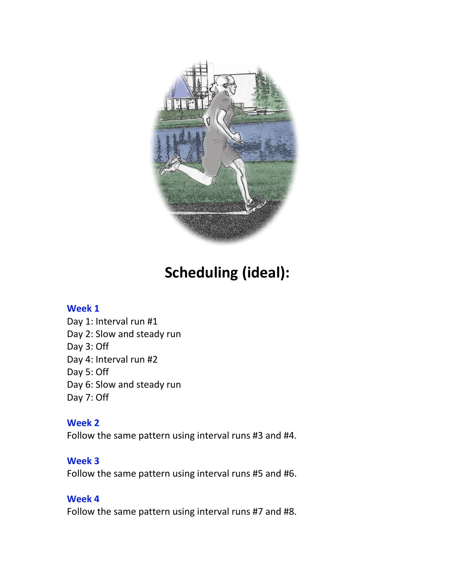

## **Scheduling (ideal):**

#### **Week 1**

Day 1: Interval run #1 Day 2: Slow and steady run Day 3: Off Day 4: Interval run #2 Day 5: Off Day 6: Slow and steady run Day 7: Off

#### **Week 2**

Follow the same pattern using interval runs #3 and #4.

#### **Week 3**

Follow the same pattern using interval runs #5 and #6.

#### **Week 4**

Follow the same pattern using interval runs #7 and #8.